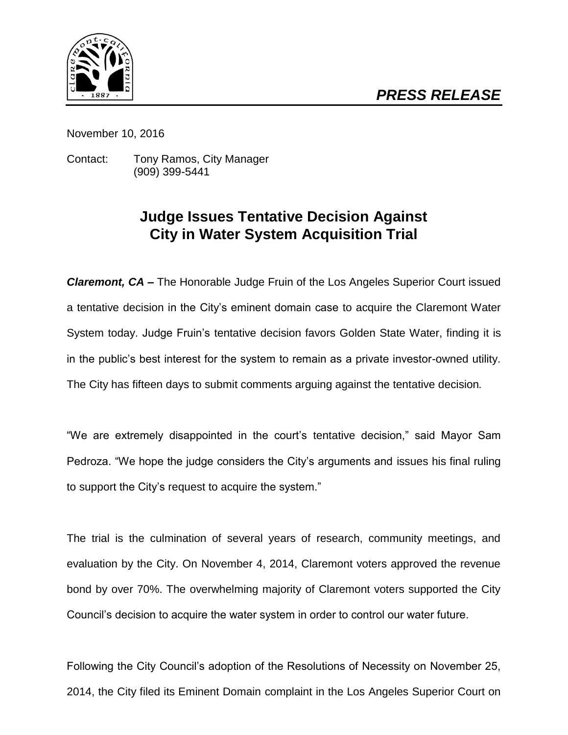

November 10, 2016

Contact: Tony Ramos, City Manager (909) 399-5441

## **Judge Issues Tentative Decision Against City in Water System Acquisition Trial**

*Claremont, CA –* The Honorable Judge Fruin of the Los Angeles Superior Court issued a tentative decision in the City's eminent domain case to acquire the Claremont Water System today. Judge Fruin's tentative decision favors Golden State Water, finding it is in the public's best interest for the system to remain as a private investor-owned utility. The City has fifteen days to submit comments arguing against the tentative decision*.*

"We are extremely disappointed in the court's tentative decision," said Mayor Sam Pedroza. "We hope the judge considers the City's arguments and issues his final ruling to support the City's request to acquire the system."

The trial is the culmination of several years of research, community meetings, and evaluation by the City. On November 4, 2014, Claremont voters approved the revenue bond by over 70%. The overwhelming majority of Claremont voters supported the City Council's decision to acquire the water system in order to control our water future.

Following the City Council's adoption of the Resolutions of Necessity on November 25, 2014, the City filed its Eminent Domain complaint in the Los Angeles Superior Court on